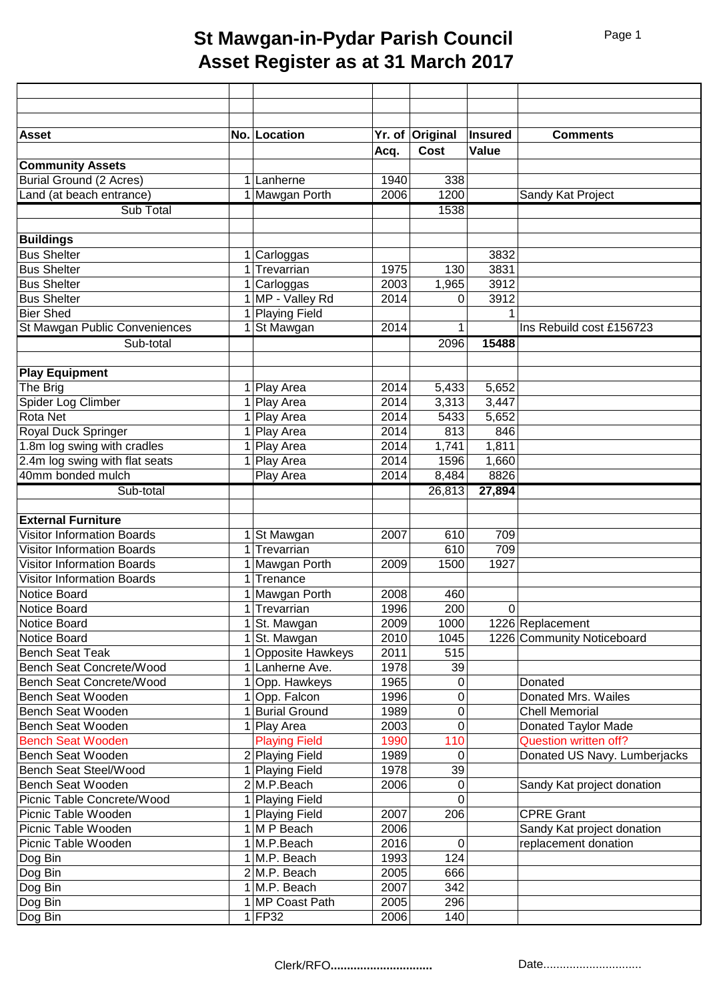## **St Mawgan-in-Pydar Parish Council Asset Register as at 31 March 2017**

| <b>Asset</b>                           |             | No. Location             |      | Yr. of Original | Insured | <b>Comments</b>              |
|----------------------------------------|-------------|--------------------------|------|-----------------|---------|------------------------------|
|                                        |             |                          | Acq. | <b>Cost</b>     | Value   |                              |
| <b>Community Assets</b>                |             |                          |      |                 |         |                              |
| <b>Burial Ground (2 Acres)</b>         |             | 1 Lanherne               | 1940 | 338             |         |                              |
| Land (at beach entrance)               |             | 1 Mawgan Porth           | 2006 | 1200            |         | Sandy Kat Project            |
| Sub Total                              |             |                          |      | 1538            |         |                              |
|                                        |             |                          |      |                 |         |                              |
| <b>Buildings</b><br><b>Bus Shelter</b> |             | 1 Carloggas              |      |                 | 3832    |                              |
| <b>Bus Shelter</b>                     |             | $1$ Trevarrian           | 1975 | 130             | 3831    |                              |
| <b>Bus Shelter</b>                     |             | $\overline{1}$ Carloggas | 2003 | 1,965           | 3912    |                              |
| <b>Bus Shelter</b>                     |             | 1 MP - Valley Rd         | 2014 | 0               | 3912    |                              |
| <b>Bier Shed</b>                       |             |                          |      |                 |         |                              |
|                                        |             | 1 Playing Field          |      |                 | 1       | Ins Rebuild cost £156723     |
| St Mawgan Public Conveniences          |             | 1 St Mawgan              | 2014 | 1               |         |                              |
| Sub-total                              |             |                          |      | 2096            | 15488   |                              |
| <b>Play Equipment</b>                  |             |                          |      |                 |         |                              |
| The Brig                               | 1           | Play Area                | 2014 | 5,433           | 5,652   |                              |
| Spider Log Climber                     | $\mathbf 1$ | Play Area                | 2014 | 3,313           | 3,447   |                              |
| <b>Rota Net</b>                        | $\mathbf 1$ | Play Area                | 2014 | 5433            | 5,652   |                              |
| Royal Duck Springer                    | 1           | Play Area                | 2014 | 813             | 846     |                              |
| 1.8m log swing with cradles            | 1           | Play Area                | 2014 | 1,741           | 1,811   |                              |
| 2.4m log swing with flat seats         | 1           | Play Area                | 2014 | 1596            | 1,660   |                              |
| 40mm bonded mulch                      |             | Play Area                | 2014 | 8,484           | 8826    |                              |
| Sub-total                              |             |                          |      | 26,813          | 27,894  |                              |
|                                        |             |                          |      |                 |         |                              |
| <b>External Furniture</b>              |             |                          |      |                 |         |                              |
| <b>Visitor Information Boards</b>      |             | 1 St Mawgan              | 2007 | 610             | 709     |                              |
| <b>Visitor Information Boards</b>      |             | 1 Trevarrian             |      | 610             | 709     |                              |
| <b>Visitor Information Boards</b>      |             | 1 Mawgan Porth           | 2009 | 1500            | 1927    |                              |
| <b>Visitor Information Boards</b>      | 1           | Trenance                 |      |                 |         |                              |
| Notice Board                           |             | 1 Mawgan Porth           | 2008 | 460             |         |                              |
| <b>Notice Board</b>                    |             | 1 Trevarrian             | 1996 | 200             | 0       |                              |
| Notice Board                           |             | 1 St. Mawgan             | 2009 | 1000            |         | 1226 Replacement             |
| <b>Notice Board</b>                    |             | 1 St. Mawgan             | 2010 | 1045            |         | 1226 Community Noticeboard   |
| <b>Bench Seat Teak</b>                 |             | 1 Opposite Hawkeys       | 2011 | 515             |         |                              |
| Bench Seat Concrete/Wood               |             | 1 Lanherne Ave.          | 1978 | 39              |         |                              |
| Bench Seat Concrete/Wood               |             | 1 Opp. Hawkeys           | 1965 | 0               |         | Donated                      |
| Bench Seat Wooden                      |             | 1 Opp. Falcon            | 1996 | 0               |         | Donated Mrs. Wailes          |
| Bench Seat Wooden                      |             | 1 Burial Ground          | 1989 | 0               |         | <b>Chell Memorial</b>        |
| Bench Seat Wooden                      |             | 1 Play Area              | 2003 | 0               |         | Donated Taylor Made          |
| <b>Bench Seat Wooden</b>               |             | <b>Playing Field</b>     | 1990 | 110             |         | <b>Question written off?</b> |
| Bench Seat Wooden                      |             | 2 Playing Field          | 1989 | 0               |         | Donated US Navy. Lumberjacks |
| <b>Bench Seat Steel/Wood</b>           |             | 1 Playing Field          | 1978 | 39              |         |                              |
| Bench Seat Wooden                      |             | 2 M.P.Beach              | 2006 | 0               |         | Sandy Kat project donation   |
| Picnic Table Concrete/Wood             |             | <b>Playing Field</b>     |      | 0               |         |                              |
| Picnic Table Wooden                    |             | Playing Field            | 2007 | 206             |         | <b>CPRE Grant</b>            |
| Picnic Table Wooden                    |             | 1 M P Beach              | 2006 |                 |         | Sandy Kat project donation   |
| Picnic Table Wooden                    |             | 1 M.P.Beach              | 2016 | 0               |         | replacement donation         |
| Dog Bin                                |             | 1 M.P. Beach             | 1993 | 124             |         |                              |
| Dog Bin                                |             | 2 M.P. Beach             | 2005 | 666             |         |                              |
| Dog Bin                                |             | $1$ M.P. Beach           | 2007 | 342             |         |                              |
| Dog Bin                                |             | 1 MP Coast Path          | 2005 | 296             |         |                              |
|                                        |             | $1$ FP32                 |      | 140             |         |                              |
| Dog Bin                                |             |                          | 2006 |                 |         |                              |